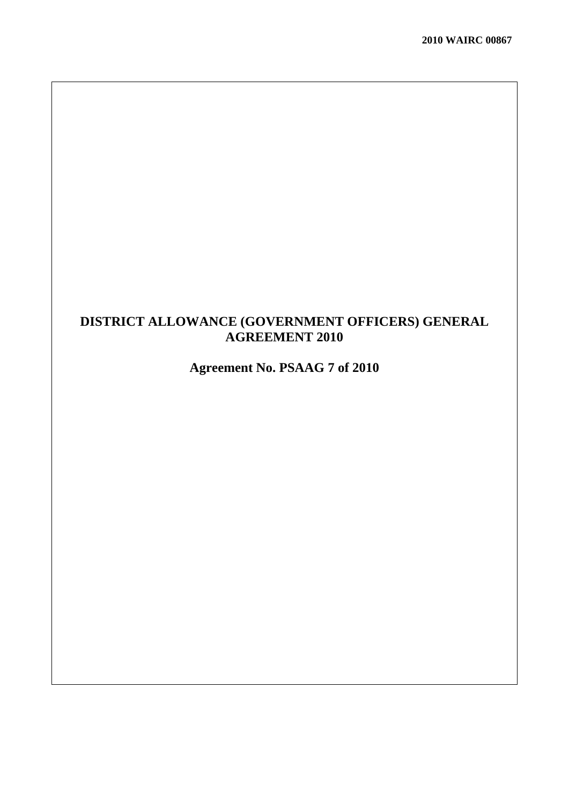## **DISTRICT ALLOWANCE (GOVERNMENT OFFICERS) GENERAL AGREEMENT 2010**

# **Agreement No. PSAAG 7 of 2010**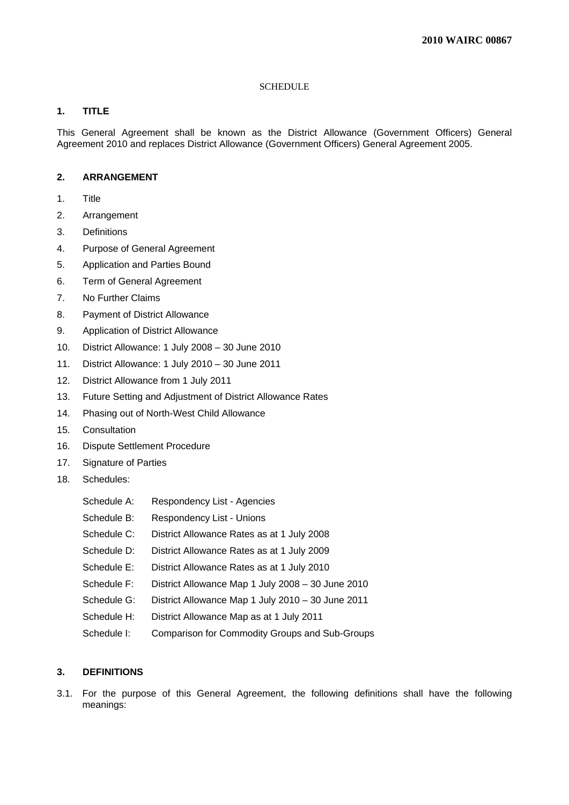## **SCHEDULE**

## **1. TITLE**

This General Agreement shall be known as the District Allowance (Government Officers) General Agreement 2010 and replaces District Allowance (Government Officers) General Agreement 2005.

## **2. ARRANGEMENT**

- 1. Title
- 2. Arrangement
- 3. Definitions
- 4. Purpose of General Agreement
- 5. Application and Parties Bound
- 6. Term of General Agreement
- 7. No Further Claims
- 8. Payment of District Allowance
- 9. Application of District Allowance
- 10. District Allowance: 1 July 2008 30 June 2010
- 11. District Allowance: 1 July 2010 30 June 2011
- 12. District Allowance from 1 July 2011
- 13. Future Setting and Adjustment of District Allowance Rates
- 14. Phasing out of North-West Child Allowance
- 15. Consultation
- 16. Dispute Settlement Procedure
- 17. Signature of Parties
- 18. Schedules:

| Schedule A: | Respondency List - Agencies                       |
|-------------|---------------------------------------------------|
| Schedule B: | Respondency List - Unions                         |
| Schedule C: | District Allowance Rates as at 1 July 2008        |
| Schedule D: | District Allowance Rates as at 1 July 2009        |
| Schedule E: | District Allowance Rates as at 1 July 2010        |
| Schedule F: | District Allowance Map 1 July 2008 - 30 June 2010 |
| Schedule G: | District Allowance Map 1 July 2010 - 30 June 2011 |
| Schedule H: | District Allowance Map as at 1 July 2011          |
| Schedule I: | Comparison for Commodity Groups and Sub-Groups    |

## **3. DEFINITIONS**

3.1. For the purpose of this General Agreement, the following definitions shall have the following meanings: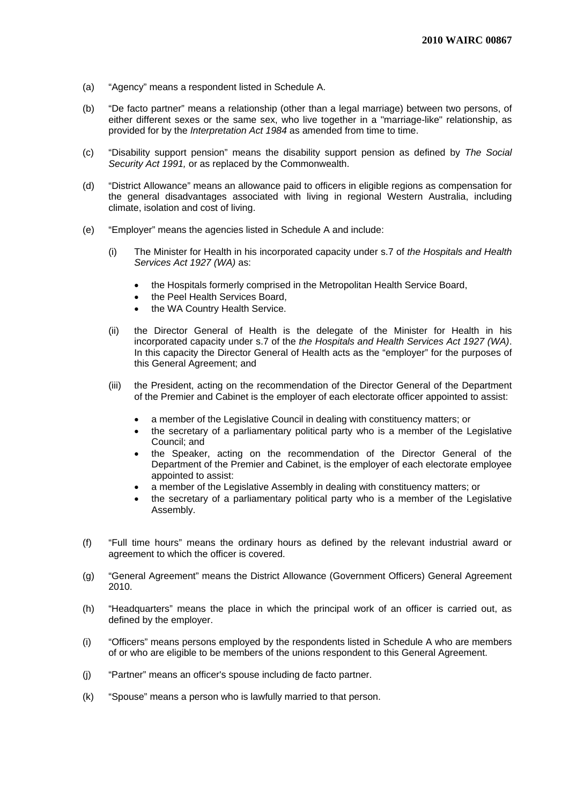- (a) "Agency" means a respondent listed in Schedule A.
- (b) "De facto partner" means a relationship (other than a legal marriage) between two persons, of either different sexes or the same sex, who live together in a "marriage-like" relationship, as provided for by the *Interpretation Act 1984* as amended from time to time.
- (c) "Disability support pension" means the disability support pension as defined by *The Social Security Act 1991,* or as replaced by the Commonwealth.
- (d) "District Allowance" means an allowance paid to officers in eligible regions as compensation for the general disadvantages associated with living in regional Western Australia, including climate, isolation and cost of living.
- (e) "Employer" means the agencies listed in Schedule A and include:
	- (i) The Minister for Health in his incorporated capacity under s.7 of *the Hospitals and Health Services Act 1927 (WA)* as:
		- the Hospitals formerly comprised in the Metropolitan Health Service Board,
		- the Peel Health Services Board,
		- the WA Country Health Service.
	- (ii) the Director General of Health is the delegate of the Minister for Health in his incorporated capacity under s.7 of the *the Hospitals and Health Services Act 1927 (WA)*. In this capacity the Director General of Health acts as the "employer" for the purposes of this General Agreement; and
	- (iii) the President, acting on the recommendation of the Director General of the Department of the Premier and Cabinet is the employer of each electorate officer appointed to assist:
		- a member of the Legislative Council in dealing with constituency matters; or
		- the secretary of a parliamentary political party who is a member of the Legislative Council; and
		- the Speaker, acting on the recommendation of the Director General of the Department of the Premier and Cabinet, is the employer of each electorate employee appointed to assist:
		- a member of the Legislative Assembly in dealing with constituency matters; or
		- the secretary of a parliamentary political party who is a member of the Legislative Assembly.
- (f) "Full time hours" means the ordinary hours as defined by the relevant industrial award or agreement to which the officer is covered.
- (g) "General Agreement" means the District Allowance (Government Officers) General Agreement 2010.
- (h) "Headquarters" means the place in which the principal work of an officer is carried out, as defined by the employer.
- (i) "Officers" means persons employed by the respondents listed in Schedule A who are members of or who are eligible to be members of the unions respondent to this General Agreement.
- (j) "Partner" means an officer's spouse including de facto partner.
- (k) "Spouse" means a person who is lawfully married to that person.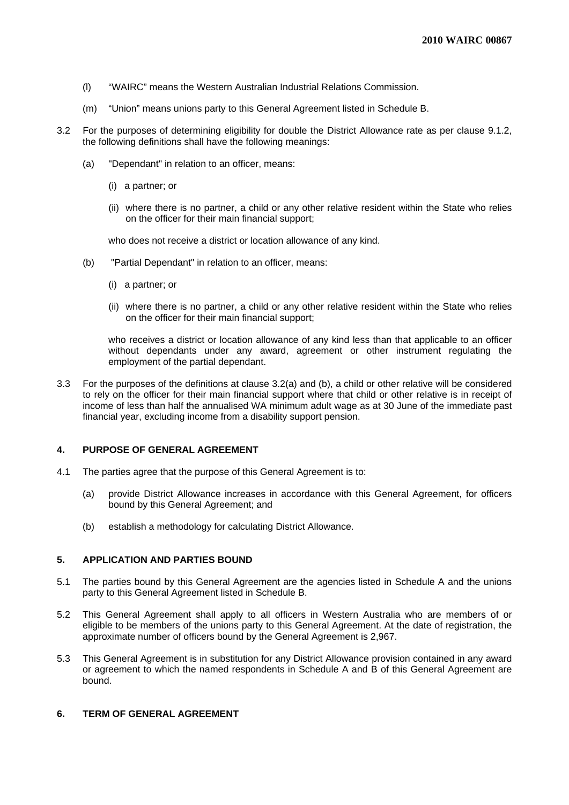- (l) "WAIRC" means the Western Australian Industrial Relations Commission.
- (m) "Union" means unions party to this General Agreement listed in Schedule B.
- 3.2 For the purposes of determining eligibility for double the District Allowance rate as per clause 9.1.2, the following definitions shall have the following meanings:
	- (a) "Dependant" in relation to an officer, means:
		- (i) a partner; or
		- (ii) where there is no partner, a child or any other relative resident within the State who relies on the officer for their main financial support;

who does not receive a district or location allowance of any kind.

- (b) "Partial Dependant" in relation to an officer, means:
	- (i) a partner; or
	- (ii) where there is no partner, a child or any other relative resident within the State who relies on the officer for their main financial support;

who receives a district or location allowance of any kind less than that applicable to an officer without dependants under any award, agreement or other instrument regulating the employment of the partial dependant.

3.3 For the purposes of the definitions at clause 3.2(a) and (b), a child or other relative will be considered to rely on the officer for their main financial support where that child or other relative is in receipt of income of less than half the annualised WA minimum adult wage as at 30 June of the immediate past financial year, excluding income from a disability support pension.

## **4. PURPOSE OF GENERAL AGREEMENT**

- 4.1 The parties agree that the purpose of this General Agreement is to:
	- (a) provide District Allowance increases in accordance with this General Agreement, for officers bound by this General Agreement; and
	- (b) establish a methodology for calculating District Allowance.

## **5. APPLICATION AND PARTIES BOUND**

- 5.1 The parties bound by this General Agreement are the agencies listed in Schedule A and the unions party to this General Agreement listed in Schedule B.
- 5.2 This General Agreement shall apply to all officers in Western Australia who are members of or eligible to be members of the unions party to this General Agreement. At the date of registration, the approximate number of officers bound by the General Agreement is 2,967.
- 5.3 This General Agreement is in substitution for any District Allowance provision contained in any award or agreement to which the named respondents in Schedule A and B of this General Agreement are bound.

## **6. TERM OF GENERAL AGREEMENT**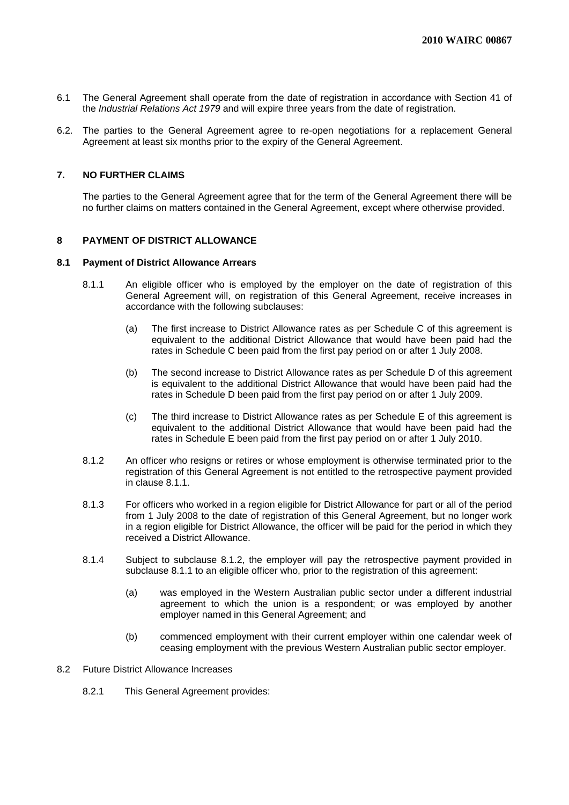- 6.1 The General Agreement shall operate from the date of registration in accordance with Section 41 of the *Industrial Relations Act 1979* and will expire three years from the date of registration.
- 6.2. The parties to the General Agreement agree to re-open negotiations for a replacement General Agreement at least six months prior to the expiry of the General Agreement.

## **7. NO FURTHER CLAIMS**

 The parties to the General Agreement agree that for the term of the General Agreement there will be no further claims on matters contained in the General Agreement, except where otherwise provided.

## **8 PAYMENT OF DISTRICT ALLOWANCE**

#### **8.1 Payment of District Allowance Arrears**

- 8.1.1 An eligible officer who is employed by the employer on the date of registration of this General Agreement will, on registration of this General Agreement, receive increases in accordance with the following subclauses:
	- (a) The first increase to District Allowance rates as per Schedule C of this agreement is equivalent to the additional District Allowance that would have been paid had the rates in Schedule C been paid from the first pay period on or after 1 July 2008.
	- (b) The second increase to District Allowance rates as per Schedule D of this agreement is equivalent to the additional District Allowance that would have been paid had the rates in Schedule D been paid from the first pay period on or after 1 July 2009.
	- (c) The third increase to District Allowance rates as per Schedule E of this agreement is equivalent to the additional District Allowance that would have been paid had the rates in Schedule E been paid from the first pay period on or after 1 July 2010.
- 8.1.2 An officer who resigns or retires or whose employment is otherwise terminated prior to the registration of this General Agreement is not entitled to the retrospective payment provided in clause 8.1.1.
- 8.1.3 For officers who worked in a region eligible for District Allowance for part or all of the period from 1 July 2008 to the date of registration of this General Agreement, but no longer work in a region eligible for District Allowance, the officer will be paid for the period in which they received a District Allowance.
- 8.1.4 Subject to subclause 8.1.2, the employer will pay the retrospective payment provided in subclause 8.1.1 to an eligible officer who, prior to the registration of this agreement:
	- (a) was employed in the Western Australian public sector under a different industrial agreement to which the union is a respondent; or was employed by another employer named in this General Agreement; and
	- (b) commenced employment with their current employer within one calendar week of ceasing employment with the previous Western Australian public sector employer.

## 8.2 Future District Allowance Increases

8.2.1 This General Agreement provides: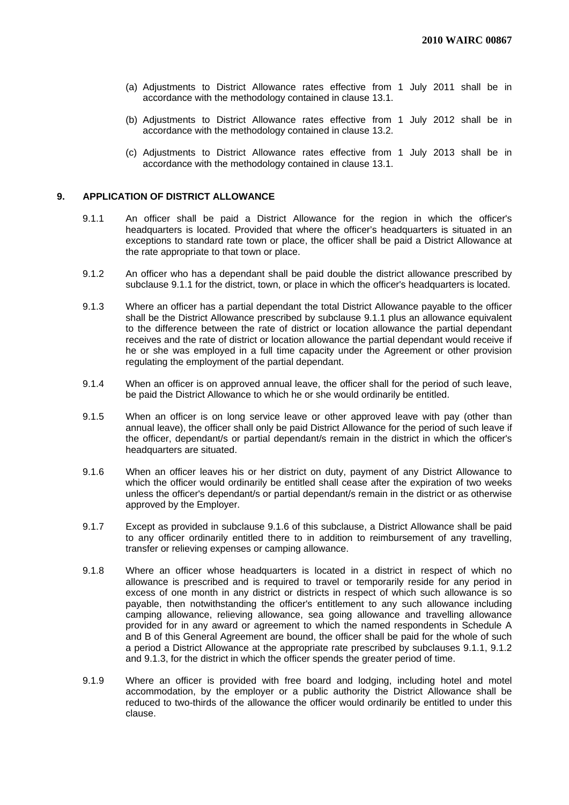- (a) Adjustments to District Allowance rates effective from 1 July 2011 shall be in accordance with the methodology contained in clause 13.1.
- (b) Adjustments to District Allowance rates effective from 1 July 2012 shall be in accordance with the methodology contained in clause 13.2.
- (c) Adjustments to District Allowance rates effective from 1 July 2013 shall be in accordance with the methodology contained in clause 13.1.

## **9. APPLICATION OF DISTRICT ALLOWANCE**

- 9.1.1 An officer shall be paid a District Allowance for the region in which the officer's headquarters is located. Provided that where the officer's headquarters is situated in an exceptions to standard rate town or place, the officer shall be paid a District Allowance at the rate appropriate to that town or place.
- 9.1.2 An officer who has a dependant shall be paid double the district allowance prescribed by subclause 9.1.1 for the district, town, or place in which the officer's headquarters is located.
- 9.1.3 Where an officer has a partial dependant the total District Allowance payable to the officer shall be the District Allowance prescribed by subclause 9.1.1 plus an allowance equivalent to the difference between the rate of district or location allowance the partial dependant receives and the rate of district or location allowance the partial dependant would receive if he or she was employed in a full time capacity under the Agreement or other provision regulating the employment of the partial dependant.
- 9.1.4 When an officer is on approved annual leave, the officer shall for the period of such leave, be paid the District Allowance to which he or she would ordinarily be entitled.
- 9.1.5 When an officer is on long service leave or other approved leave with pay (other than annual leave), the officer shall only be paid District Allowance for the period of such leave if the officer, dependant/s or partial dependant/s remain in the district in which the officer's headquarters are situated.
- 9.1.6 When an officer leaves his or her district on duty, payment of any District Allowance to which the officer would ordinarily be entitled shall cease after the expiration of two weeks unless the officer's dependant/s or partial dependant/s remain in the district or as otherwise approved by the Employer.
- 9.1.7 Except as provided in subclause 9.1.6 of this subclause, a District Allowance shall be paid to any officer ordinarily entitled there to in addition to reimbursement of any travelling, transfer or relieving expenses or camping allowance.
- 9.1.8 Where an officer whose headquarters is located in a district in respect of which no allowance is prescribed and is required to travel or temporarily reside for any period in excess of one month in any district or districts in respect of which such allowance is so payable, then notwithstanding the officer's entitlement to any such allowance including camping allowance, relieving allowance, sea going allowance and travelling allowance provided for in any award or agreement to which the named respondents in Schedule A and B of this General Agreement are bound, the officer shall be paid for the whole of such a period a District Allowance at the appropriate rate prescribed by subclauses 9.1.1, 9.1.2 and 9.1.3, for the district in which the officer spends the greater period of time.
- 9.1.9 Where an officer is provided with free board and lodging, including hotel and motel accommodation, by the employer or a public authority the District Allowance shall be reduced to two-thirds of the allowance the officer would ordinarily be entitled to under this clause.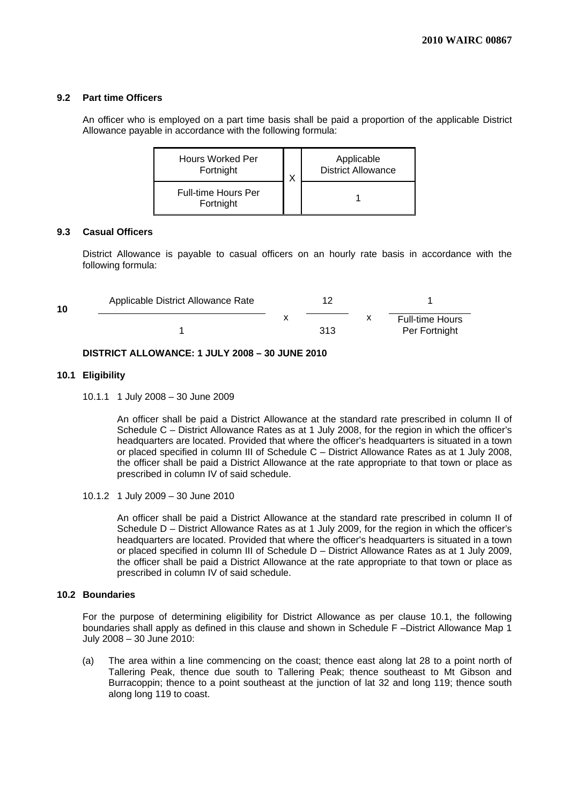## **9.2 Part time Officers**

An officer who is employed on a part time basis shall be paid a proportion of the applicable District Allowance payable in accordance with the following formula:

| <b>Hours Worked Per</b><br>Fortnight<br>v |  | Applicable<br><b>District Allowance</b> |  |  |
|-------------------------------------------|--|-----------------------------------------|--|--|
| <b>Full-time Hours Per</b><br>Fortnight   |  |                                         |  |  |

## **9.3 Casual Officers**

District Allowance is payable to casual officers on an hourly rate basis in accordance with the following formula:

| 10 | Applicable District Allowance Rate |  |     |   |                                         |  |
|----|------------------------------------|--|-----|---|-----------------------------------------|--|
|    |                                    |  | 313 | х | <b>Full-time Hours</b><br>Per Fortnight |  |

## **DISTRICT ALLOWANCE: 1 JULY 2008 – 30 JUNE 2010**

## **10.1 Eligibility**

10.1.1 1 July 2008 – 30 June 2009

 An officer shall be paid a District Allowance at the standard rate prescribed in column II of Schedule C – District Allowance Rates as at 1 July 2008, for the region in which the officer's headquarters are located. Provided that where the officer's headquarters is situated in a town or placed specified in column III of Schedule C – District Allowance Rates as at 1 July 2008, the officer shall be paid a District Allowance at the rate appropriate to that town or place as prescribed in column IV of said schedule.

10.1.2 1 July 2009 – 30 June 2010

An officer shall be paid a District Allowance at the standard rate prescribed in column II of Schedule D – District Allowance Rates as at 1 July 2009, for the region in which the officer's headquarters are located. Provided that where the officer's headquarters is situated in a town or placed specified in column III of Schedule D – District Allowance Rates as at 1 July 2009, the officer shall be paid a District Allowance at the rate appropriate to that town or place as prescribed in column IV of said schedule.

## **10.2 Boundaries**

 For the purpose of determining eligibility for District Allowance as per clause 10.1, the following boundaries shall apply as defined in this clause and shown in Schedule F –District Allowance Map 1 July 2008 – 30 June 2010:

(a) The area within a line commencing on the coast; thence east along lat 28 to a point north of Tallering Peak, thence due south to Tallering Peak; thence southeast to Mt Gibson and Burracoppin; thence to a point southeast at the junction of lat 32 and long 119; thence south along long 119 to coast.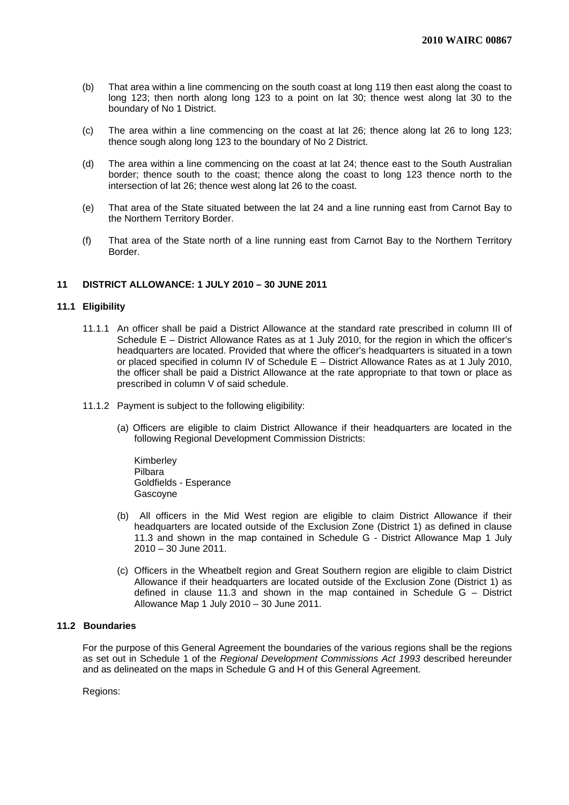- (b) That area within a line commencing on the south coast at long 119 then east along the coast to long 123; then north along long 123 to a point on lat 30; thence west along lat 30 to the boundary of No 1 District.
- (c) The area within a line commencing on the coast at lat 26; thence along lat 26 to long 123; thence sough along long 123 to the boundary of No 2 District.
- (d) The area within a line commencing on the coast at lat 24; thence east to the South Australian border; thence south to the coast; thence along the coast to long 123 thence north to the intersection of lat 26; thence west along lat 26 to the coast.
- (e) That area of the State situated between the lat 24 and a line running east from Carnot Bay to the Northern Territory Border.
- (f) That area of the State north of a line running east from Carnot Bay to the Northern Territory Border.

## **11 DISTRICT ALLOWANCE: 1 JULY 2010 – 30 JUNE 2011**

#### **11.1 Eligibility**

- 11.1.1 An officer shall be paid a District Allowance at the standard rate prescribed in column III of Schedule E – District Allowance Rates as at 1 July 2010, for the region in which the officer's headquarters are located. Provided that where the officer's headquarters is situated in a town or placed specified in column IV of Schedule E – District Allowance Rates as at 1 July 2010, the officer shall be paid a District Allowance at the rate appropriate to that town or place as prescribed in column V of said schedule.
- 11.1.2 Payment is subject to the following eligibility:
	- (a) Officers are eligible to claim District Allowance if their headquarters are located in the following Regional Development Commission Districts:

Kimberley Pilbara Goldfields - Esperance Gascoyne

- (b) All officers in the Mid West region are eligible to claim District Allowance if their headquarters are located outside of the Exclusion Zone (District 1) as defined in clause 11.3 and shown in the map contained in Schedule G - District Allowance Map 1 July 2010 – 30 June 2011.
- (c) Officers in the Wheatbelt region and Great Southern region are eligible to claim District Allowance if their headquarters are located outside of the Exclusion Zone (District 1) as defined in clause 11.3 and shown in the map contained in Schedule G – District Allowance Map 1 July 2010 – 30 June 2011.

## **11.2 Boundaries**

For the purpose of this General Agreement the boundaries of the various regions shall be the regions as set out in Schedule 1 of the *Regional Development Commissions Act 1993* described hereunder and as delineated on the maps in Schedule G and H of this General Agreement.

Regions: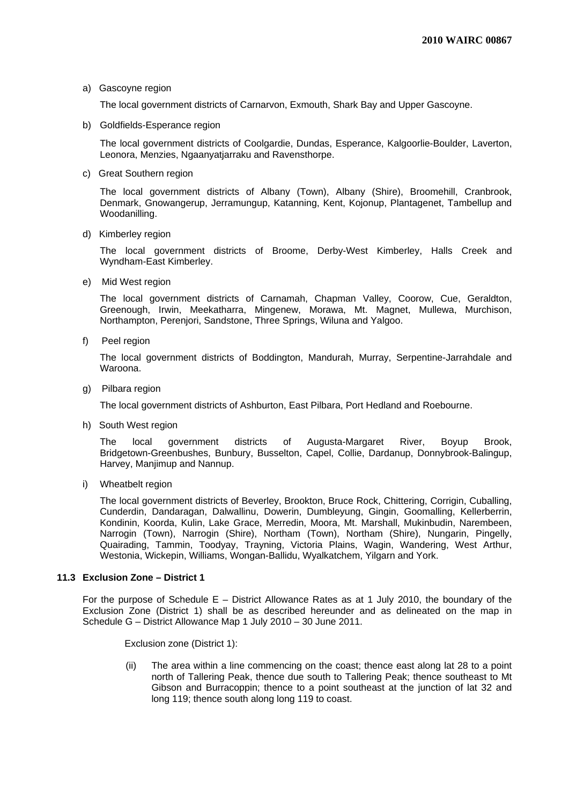## a) Gascoyne region

The local government districts of Carnarvon, Exmouth, Shark Bay and Upper Gascoyne.

b) Goldfields-Esperance region

The local government districts of Coolgardie, Dundas, Esperance, Kalgoorlie-Boulder, Laverton, Leonora, Menzies, Ngaanyatjarraku and Ravensthorpe.

c) Great Southern region

The local government districts of Albany (Town), Albany (Shire), Broomehill, Cranbrook, Denmark, Gnowangerup, Jerramungup, Katanning, Kent, Kojonup, Plantagenet, Tambellup and Woodanilling.

d) Kimberley region

The local government districts of Broome, Derby-West Kimberley, Halls Creek and Wyndham-East Kimberley.

e) Mid West region

The local government districts of Carnamah, Chapman Valley, Coorow, Cue, Geraldton, Greenough, Irwin, Meekatharra, Mingenew, Morawa, Mt. Magnet, Mullewa, Murchison, Northampton, Perenjori, Sandstone, Three Springs, Wiluna and Yalgoo.

f) Peel region

The local government districts of Boddington, Mandurah, Murray, Serpentine-Jarrahdale and Waroona.

g) Pilbara region

The local government districts of Ashburton, East Pilbara, Port Hedland and Roebourne.

h) South West region

The local government districts of Augusta-Margaret River, Boyup Brook, Bridgetown-Greenbushes, Bunbury, Busselton, Capel, Collie, Dardanup, Donnybrook-Balingup, Harvey, Manjimup and Nannup.

i) Wheatbelt region

The local government districts of Beverley, Brookton, Bruce Rock, Chittering, Corrigin, Cuballing, Cunderdin, Dandaragan, Dalwallinu, Dowerin, Dumbleyung, Gingin, Goomalling, Kellerberrin, Kondinin, Koorda, Kulin, Lake Grace, Merredin, Moora, Mt. Marshall, Mukinbudin, Narembeen, Narrogin (Town), Narrogin (Shire), Northam (Town), Northam (Shire), Nungarin, Pingelly, Quairading, Tammin, Toodyay, Trayning, Victoria Plains, Wagin, Wandering, West Arthur, Westonia, Wickepin, Williams, Wongan-Ballidu, Wyalkatchem, Yilgarn and York.

## **11.3 Exclusion Zone – District 1**

For the purpose of Schedule E – District Allowance Rates as at 1 July 2010, the boundary of the Exclusion Zone (District 1) shall be as described hereunder and as delineated on the map in Schedule G – District Allowance Map 1 July 2010 – 30 June 2011.

Exclusion zone (District 1):

(ii) The area within a line commencing on the coast; thence east along lat 28 to a point north of Tallering Peak, thence due south to Tallering Peak; thence southeast to Mt Gibson and Burracoppin; thence to a point southeast at the junction of lat 32 and long 119; thence south along long 119 to coast.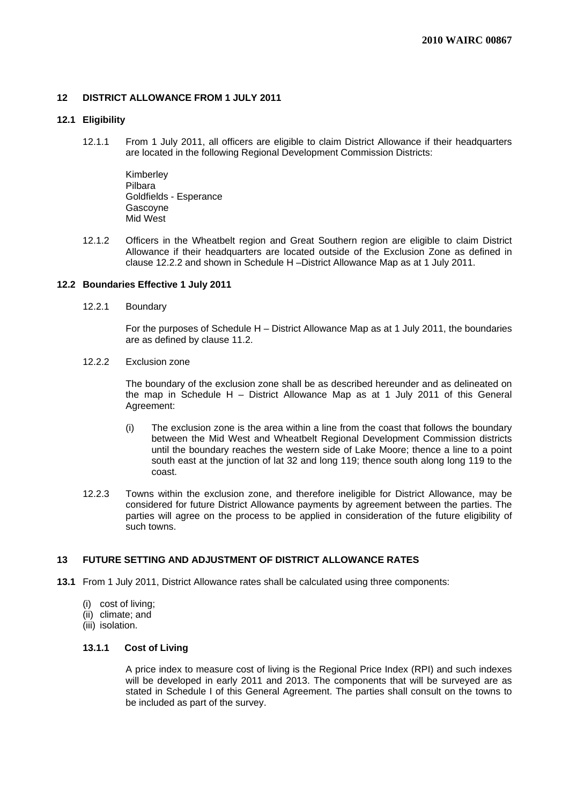## **12 DISTRICT ALLOWANCE FROM 1 JULY 2011**

## **12.1 Eligibility**

12.1.1 From 1 July 2011, all officers are eligible to claim District Allowance if their headquarters are located in the following Regional Development Commission Districts:

> Kimberley Pilbara Goldfields - Esperance Gascoyne Mid West

12.1.2 Officers in the Wheatbelt region and Great Southern region are eligible to claim District Allowance if their headquarters are located outside of the Exclusion Zone as defined in clause 12.2.2 and shown in Schedule H –District Allowance Map as at 1 July 2011.

#### **12.2 Boundaries Effective 1 July 2011**

12.2.1 Boundary

 For the purposes of Schedule H – District Allowance Map as at 1 July 2011, the boundaries are as defined by clause 11.2.

12.2.2 Exclusion zone

The boundary of the exclusion zone shall be as described hereunder and as delineated on the map in Schedule H – District Allowance Map as at 1 July 2011 of this General Agreement:

- (i) The exclusion zone is the area within a line from the coast that follows the boundary between the Mid West and Wheatbelt Regional Development Commission districts until the boundary reaches the western side of Lake Moore; thence a line to a point south east at the junction of lat 32 and long 119; thence south along long 119 to the coast.
- 12.2.3 Towns within the exclusion zone, and therefore ineligible for District Allowance, may be considered for future District Allowance payments by agreement between the parties. The parties will agree on the process to be applied in consideration of the future eligibility of such towns.

## **13 FUTURE SETTING AND ADJUSTMENT OF DISTRICT ALLOWANCE RATES**

- **13.1** From 1 July 2011, District Allowance rates shall be calculated using three components:
	- (i) cost of living;
	- (ii) climate; and
	- (iii) isolation.

#### **13.1.1 Cost of Living**

A price index to measure cost of living is the Regional Price Index (RPI) and such indexes will be developed in early 2011 and 2013. The components that will be surveyed are as stated in Schedule I of this General Agreement. The parties shall consult on the towns to be included as part of the survey.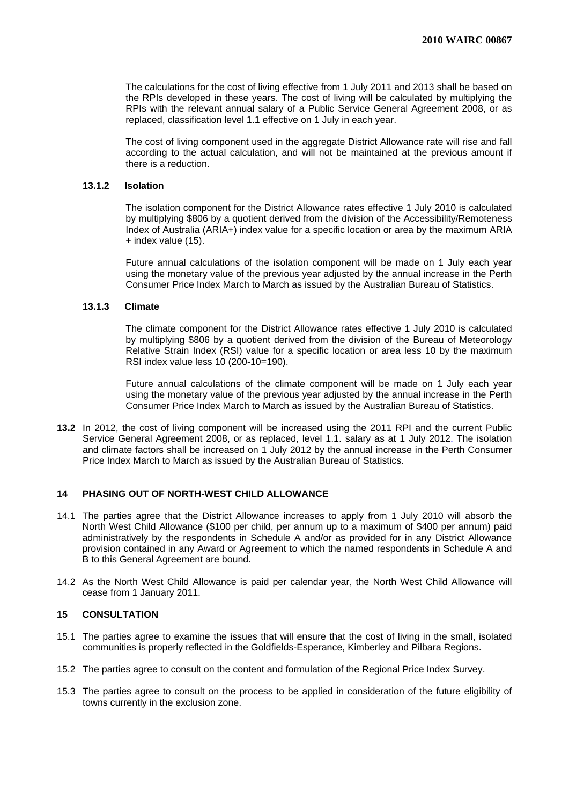The calculations for the cost of living effective from 1 July 2011 and 2013 shall be based on the RPIs developed in these years. The cost of living will be calculated by multiplying the RPIs with the relevant annual salary of a Public Service General Agreement 2008, or as replaced, classification level 1.1 effective on 1 July in each year.

The cost of living component used in the aggregate District Allowance rate will rise and fall according to the actual calculation, and will not be maintained at the previous amount if there is a reduction.

#### **13.1.2 Isolation**

The isolation component for the District Allowance rates effective 1 July 2010 is calculated by multiplying \$806 by a quotient derived from the division of the Accessibility/Remoteness Index of Australia (ARIA+) index value for a specific location or area by the maximum ARIA + index value (15).

Future annual calculations of the isolation component will be made on 1 July each year using the monetary value of the previous year adjusted by the annual increase in the Perth Consumer Price Index March to March as issued by the Australian Bureau of Statistics.

#### **13.1.3 Climate**

The climate component for the District Allowance rates effective 1 July 2010 is calculated by multiplying \$806 by a quotient derived from the division of the Bureau of Meteorology Relative Strain Index (RSI) value for a specific location or area less 10 by the maximum RSI index value less 10 (200-10=190).

Future annual calculations of the climate component will be made on 1 July each year using the monetary value of the previous year adjusted by the annual increase in the Perth Consumer Price Index March to March as issued by the Australian Bureau of Statistics.

**13.2** In 2012, the cost of living component will be increased using the 2011 RPI and the current Public Service General Agreement 2008, or as replaced, level 1.1. salary as at 1 July 2012. The isolation and climate factors shall be increased on 1 July 2012 by the annual increase in the Perth Consumer Price Index March to March as issued by the Australian Bureau of Statistics.

## **14 PHASING OUT OF NORTH-WEST CHILD ALLOWANCE**

- 14.1 The parties agree that the District Allowance increases to apply from 1 July 2010 will absorb the North West Child Allowance (\$100 per child, per annum up to a maximum of \$400 per annum) paid administratively by the respondents in Schedule A and/or as provided for in any District Allowance provision contained in any Award or Agreement to which the named respondents in Schedule A and B to this General Agreement are bound.
- 14.2 As the North West Child Allowance is paid per calendar year, the North West Child Allowance will cease from 1 January 2011.

## **15 CONSULTATION**

- 15.1 The parties agree to examine the issues that will ensure that the cost of living in the small, isolated communities is properly reflected in the Goldfields-Esperance, Kimberley and Pilbara Regions.
- 15.2 The parties agree to consult on the content and formulation of the Regional Price Index Survey.
- 15.3 The parties agree to consult on the process to be applied in consideration of the future eligibility of towns currently in the exclusion zone.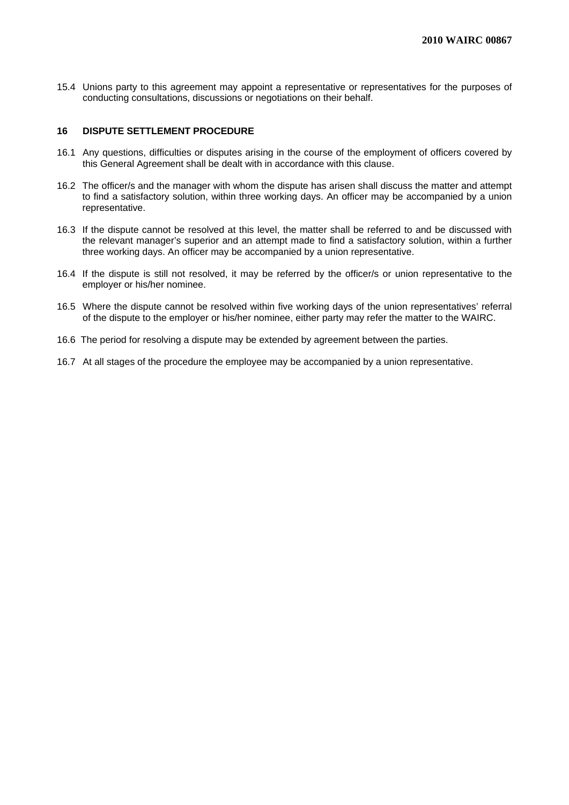15.4 Unions party to this agreement may appoint a representative or representatives for the purposes of conducting consultations, discussions or negotiations on their behalf.

## **16 DISPUTE SETTLEMENT PROCEDURE**

- 16.1 Any questions, difficulties or disputes arising in the course of the employment of officers covered by this General Agreement shall be dealt with in accordance with this clause.
- 16.2 The officer/s and the manager with whom the dispute has arisen shall discuss the matter and attempt to find a satisfactory solution, within three working days. An officer may be accompanied by a union representative.
- 16.3 If the dispute cannot be resolved at this level, the matter shall be referred to and be discussed with the relevant manager's superior and an attempt made to find a satisfactory solution, within a further three working days. An officer may be accompanied by a union representative.
- 16.4 If the dispute is still not resolved, it may be referred by the officer/s or union representative to the employer or his/her nominee.
- 16.5 Where the dispute cannot be resolved within five working days of the union representatives' referral of the dispute to the employer or his/her nominee, either party may refer the matter to the WAIRC.
- 16.6 The period for resolving a dispute may be extended by agreement between the parties.
- 16.7 At all stages of the procedure the employee may be accompanied by a union representative.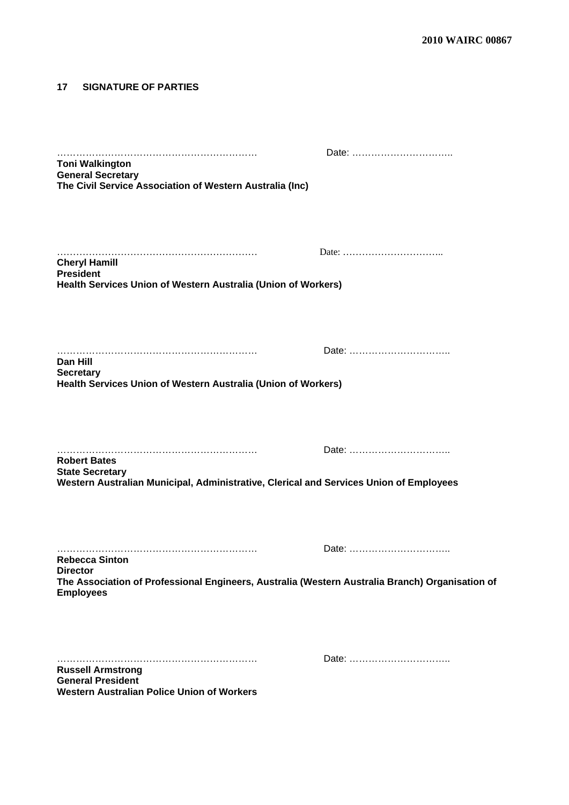## **17 SIGNATURE OF PARTIES**

| <b>Toni Walkington</b><br><b>General Secretary</b>                                                                 |       |
|--------------------------------------------------------------------------------------------------------------------|-------|
| The Civil Service Association of Western Australia (Inc)                                                           |       |
|                                                                                                                    |       |
|                                                                                                                    |       |
| <b>Cheryl Hamill</b>                                                                                               |       |
| <b>President</b><br>Health Services Union of Western Australia (Union of Workers)                                  |       |
|                                                                                                                    |       |
|                                                                                                                    |       |
|                                                                                                                    |       |
| Dan Hill<br><b>Secretary</b>                                                                                       |       |
| Health Services Union of Western Australia (Union of Workers)                                                      |       |
|                                                                                                                    |       |
|                                                                                                                    | Date: |
| <b>Robert Bates</b><br><b>State Secretary</b>                                                                      |       |
| Western Australian Municipal, Administrative, Clerical and Services Union of Employees                             |       |
|                                                                                                                    |       |
|                                                                                                                    |       |
| <b>Rebecca Sinton</b>                                                                                              | Date: |
| <b>Director</b><br>The Association of Professional Engineers, Australia (Western Australia Branch) Organisation of |       |
| <b>Employees</b>                                                                                                   |       |
|                                                                                                                    |       |
|                                                                                                                    |       |
| <b>Russell Armstrong</b><br><b>General President</b>                                                               |       |
| <b>Western Australian Police Union of Workers</b>                                                                  |       |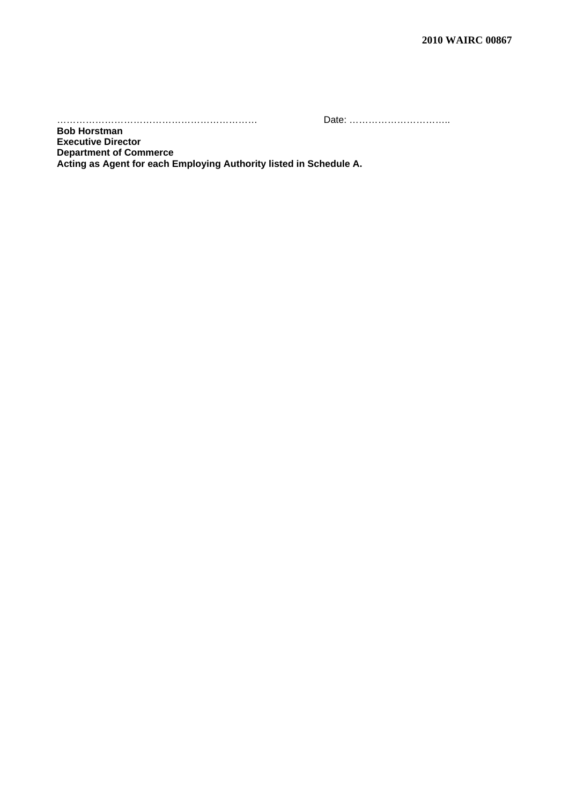……………………………………………………… Date: …………………………..

**Bob Horstman Executive Director Department of Commerce Acting as Agent for each Employing Authority listed in Schedule A.**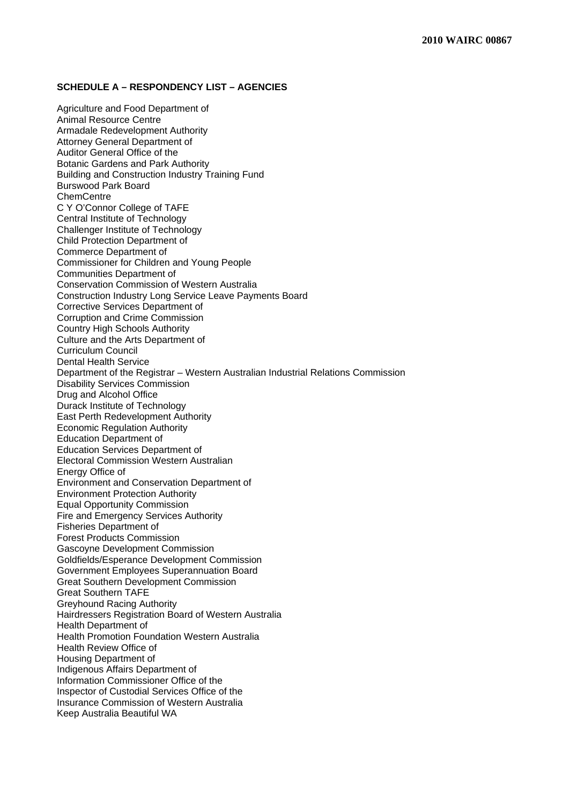## **SCHEDULE A – RESPONDENCY LIST – AGENCIES**

Agriculture and Food Department of Animal Resource Centre Armadale Redevelopment Authority Attorney General Department of Auditor General Office of the Botanic Gardens and Park Authority Building and Construction Industry Training Fund Burswood Park Board ChemCentre C Y O'Connor College of TAFE Central Institute of Technology Challenger Institute of Technology Child Protection Department of Commerce Department of Commissioner for Children and Young People Communities Department of Conservation Commission of Western Australia Construction Industry Long Service Leave Payments Board Corrective Services Department of Corruption and Crime Commission Country High Schools Authority Culture and the Arts Department of Curriculum Council Dental Health Service Department of the Registrar – Western Australian Industrial Relations Commission Disability Services Commission Drug and Alcohol Office Durack Institute of Technology East Perth Redevelopment Authority Economic Regulation Authority Education Department of Education Services Department of Electoral Commission Western Australian Energy Office of Environment and Conservation Department of Environment Protection Authority Equal Opportunity Commission Fire and Emergency Services Authority Fisheries Department of Forest Products Commission Gascoyne Development Commission Goldfields/Esperance Development Commission Government Employees Superannuation Board Great Southern Development Commission Great Southern TAFE Greyhound Racing Authority Hairdressers Registration Board of Western Australia Health Department of Health Promotion Foundation Western Australia Health Review Office of Housing Department of Indigenous Affairs Department of Information Commissioner Office of the Inspector of Custodial Services Office of the Insurance Commission of Western Australia Keep Australia Beautiful WA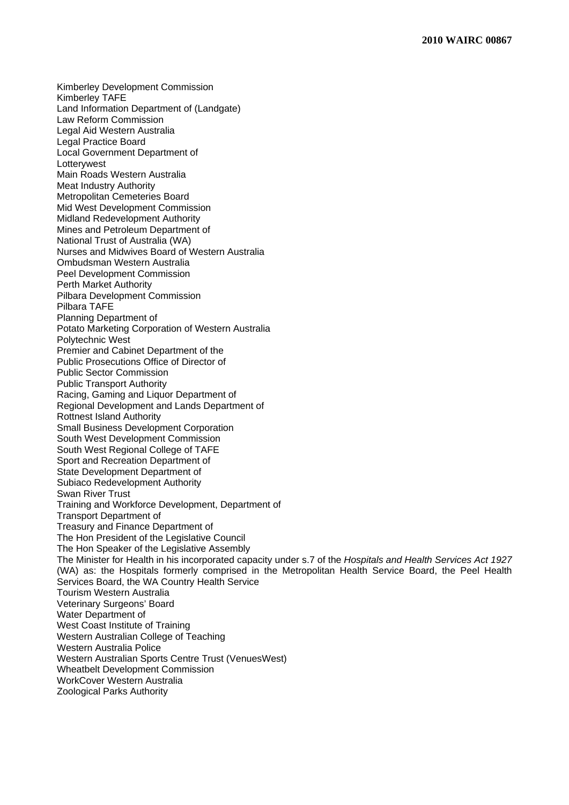Kimberley Development Commission Kimberley TAFE Land Information Department of (Landgate) Law Reform Commission Legal Aid Western Australia Legal Practice Board Local Government Department of **Lotterywest** Main Roads Western Australia Meat Industry Authority Metropolitan Cemeteries Board Mid West Development Commission Midland Redevelopment Authority Mines and Petroleum Department of National Trust of Australia (WA) Nurses and Midwives Board of Western Australia Ombudsman Western Australia Peel Development Commission Perth Market Authority Pilbara Development Commission Pilbara TAFE Planning Department of Potato Marketing Corporation of Western Australia Polytechnic West Premier and Cabinet Department of the Public Prosecutions Office of Director of Public Sector Commission Public Transport Authority Racing, Gaming and Liquor Department of Regional Development and Lands Department of Rottnest Island Authority Small Business Development Corporation South West Development Commission South West Regional College of TAFE Sport and Recreation Department of State Development Department of Subiaco Redevelopment Authority Swan River Trust Training and Workforce Development, Department of Transport Department of Treasury and Finance Department of The Hon President of the Legislative Council The Hon Speaker of the Legislative Assembly The Minister for Health in his incorporated capacity under s.7 of the *Hospitals and Health Services Act 1927* (WA) as: the Hospitals formerly comprised in the Metropolitan Health Service Board, the Peel Health Services Board, the WA Country Health Service Tourism Western Australia Veterinary Surgeons' Board Water Department of West Coast Institute of Training Western Australian College of Teaching Western Australia Police Western Australian Sports Centre Trust (VenuesWest) Wheatbelt Development Commission WorkCover Western Australia Zoological Parks Authority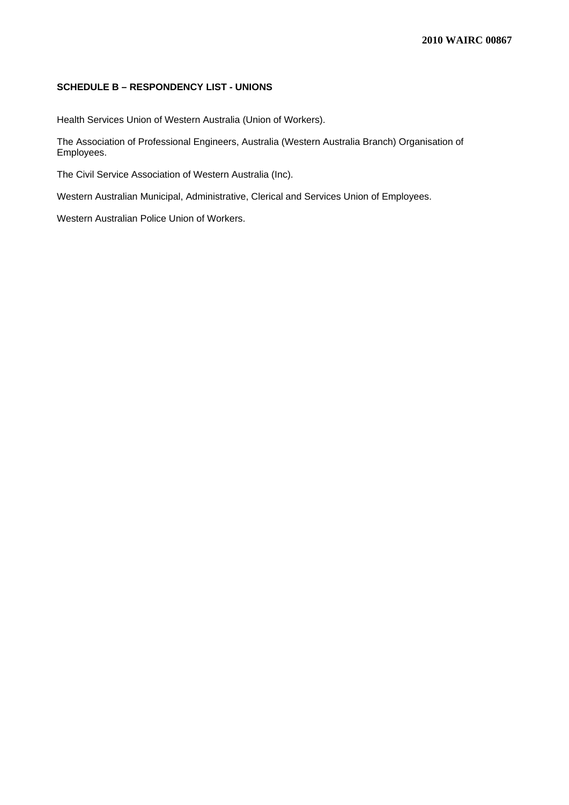## **SCHEDULE B – RESPONDENCY LIST - UNIONS**

Health Services Union of Western Australia (Union of Workers).

The Association of Professional Engineers, Australia (Western Australia Branch) Organisation of Employees.

The Civil Service Association of Western Australia (Inc).

Western Australian Municipal, Administrative, Clerical and Services Union of Employees.

Western Australian Police Union of Workers.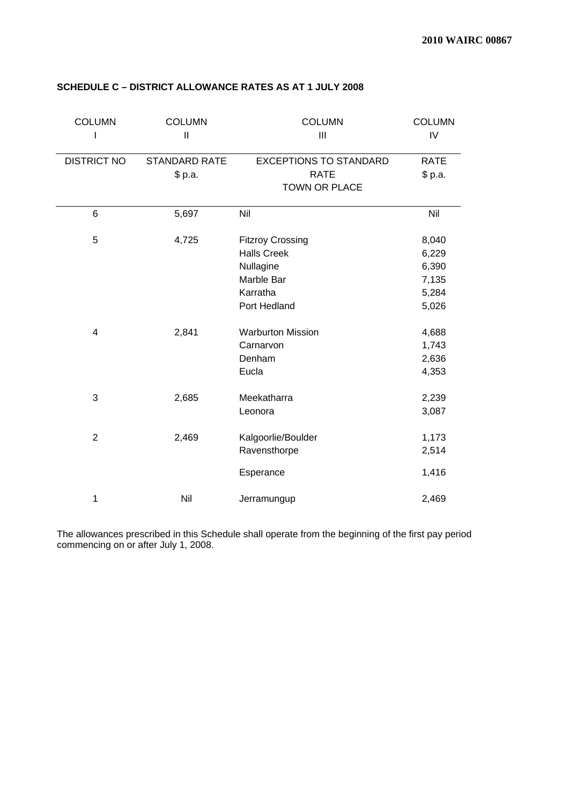| <b>COLUMN</b>      | <b>COLUMN</b><br>$\mathbf{I}$ | <b>COLUMN</b><br>$\mathbf{III}$ | <b>COLUMN</b><br>IV |
|--------------------|-------------------------------|---------------------------------|---------------------|
| <b>DISTRICT NO</b> | <b>STANDARD RATE</b>          | <b>EXCEPTIONS TO STANDARD</b>   | <b>RATE</b>         |
|                    | \$p.a.                        | <b>RATE</b>                     | \$ p.a.             |
|                    |                               | <b>TOWN OR PLACE</b>            |                     |
| 6                  | 5,697                         | Nil                             | Nil                 |
| 5                  | 4,725                         | <b>Fitzroy Crossing</b>         | 8,040               |
|                    |                               | <b>Halls Creek</b>              | 6,229               |
|                    |                               | Nullagine                       | 6,390               |
|                    |                               | Marble Bar                      | 7,135               |
|                    |                               | Karratha                        | 5,284               |
|                    |                               | Port Hedland                    | 5,026               |
| $\overline{4}$     | 2,841                         | <b>Warburton Mission</b>        | 4,688               |
|                    |                               | Carnarvon                       | 1,743               |
|                    |                               | Denham                          | 2,636               |
|                    |                               | Eucla                           | 4,353               |
| 3                  | 2,685                         | Meekatharra                     | 2,239               |
|                    |                               | Leonora                         | 3,087               |
| $\overline{2}$     | 2,469                         | Kalgoorlie/Boulder              | 1,173               |
|                    |                               | Ravensthorpe                    | 2,514               |
|                    |                               | Esperance                       | 1,416               |
| 1                  | Nil                           | Jerramungup                     | 2,469               |

## **SCHEDULE C – DISTRICT ALLOWANCE RATES AS AT 1 JULY 2008**

The allowances prescribed in this Schedule shall operate from the beginning of the first pay period commencing on or after July 1, 2008.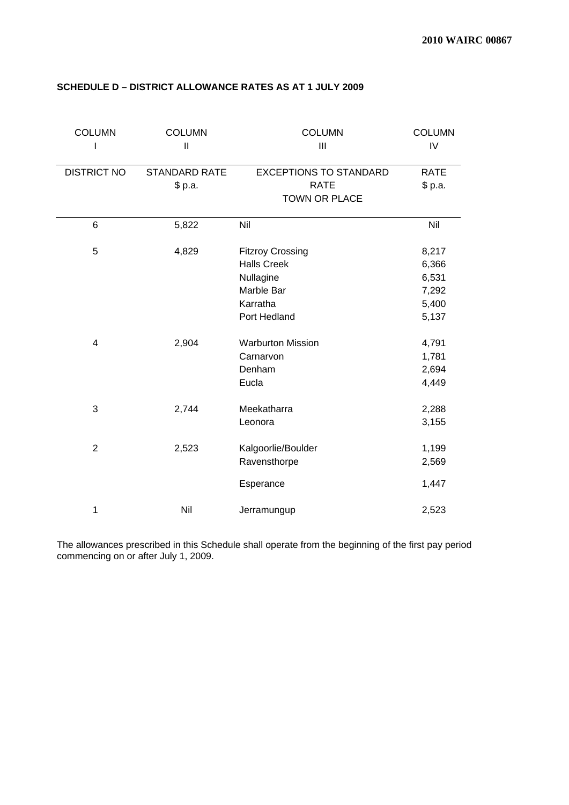| <b>COLUMN</b>      | <b>COLUMN</b><br>$\mathbf{I}$   | <b>COLUMN</b><br>Ш                                                                                   | <b>COLUMN</b><br>IV                                |
|--------------------|---------------------------------|------------------------------------------------------------------------------------------------------|----------------------------------------------------|
| <b>DISTRICT NO</b> | <b>STANDARD RATE</b><br>\$ p.a. | <b>EXCEPTIONS TO STANDARD</b><br><b>RATE</b><br>TOWN OR PLACE                                        | <b>RATE</b><br>\$ p.a.                             |
| 6                  | 5,822                           | Nil                                                                                                  | Nil                                                |
| 5                  | 4,829                           | <b>Fitzroy Crossing</b><br><b>Halls Creek</b><br>Nullagine<br>Marble Bar<br>Karratha<br>Port Hedland | 8,217<br>6,366<br>6,531<br>7,292<br>5,400<br>5,137 |
| $\overline{4}$     | 2,904                           | <b>Warburton Mission</b><br>Carnarvon<br>Denham<br>Eucla                                             | 4,791<br>1,781<br>2,694<br>4,449                   |
| 3                  | 2,744                           | Meekatharra<br>Leonora                                                                               | 2,288<br>3,155                                     |
| $\overline{2}$     | 2,523                           | Kalgoorlie/Boulder<br>Ravensthorpe<br>Esperance                                                      | 1,199<br>2,569<br>1,447                            |
| 1                  | Nil                             | Jerramungup                                                                                          | 2,523                                              |

## **SCHEDULE D – DISTRICT ALLOWANCE RATES AS AT 1 JULY 2009**

The allowances prescribed in this Schedule shall operate from the beginning of the first pay period commencing on or after July 1, 2009.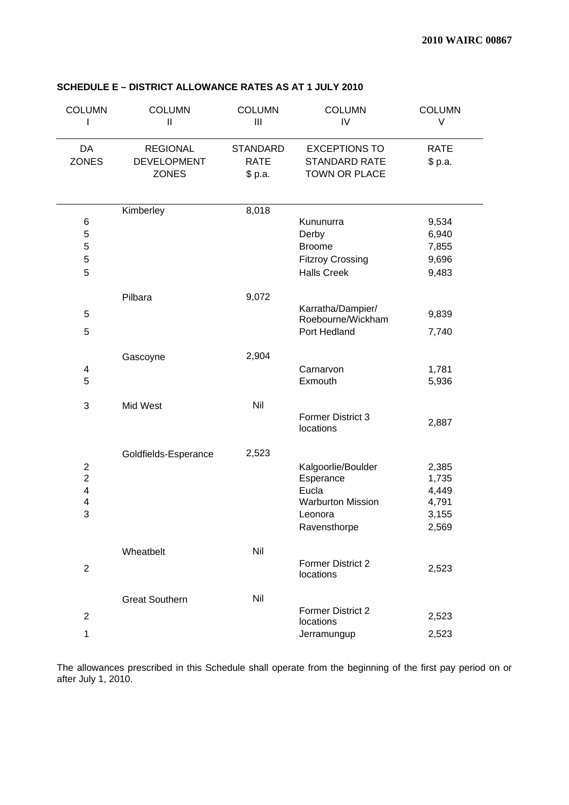| <b>COLUMN</b>           | <b>COLUMN</b><br>$\mathbf{I}$ | <b>COLUMN</b><br>III | <b>COLUMN</b><br>IV                   | <b>COLUMN</b><br>V |
|-------------------------|-------------------------------|----------------------|---------------------------------------|--------------------|
| DA                      | <b>REGIONAL</b>               | <b>STANDARD</b>      | <b>EXCEPTIONS TO</b>                  | <b>RATE</b>        |
| <b>ZONES</b>            | <b>DEVELOPMENT</b>            | <b>RATE</b>          | <b>STANDARD RATE</b>                  | \$ p.a.            |
|                         | <b>ZONES</b>                  | \$p.a.               | TOWN OR PLACE                         |                    |
|                         |                               |                      |                                       |                    |
|                         | Kimberley                     | 8,018                |                                       |                    |
| 6                       |                               |                      | Kununurra                             | 9,534              |
| $\mathbf 5$             |                               |                      | Derby                                 | 6,940              |
| 5                       |                               |                      | <b>Broome</b>                         | 7,855              |
| 5                       |                               |                      | <b>Fitzroy Crossing</b>               | 9,696              |
| 5                       |                               |                      | <b>Halls Creek</b>                    | 9,483              |
|                         | Pilbara                       | 9,072                |                                       |                    |
| 5                       |                               |                      | Karratha/Dampier/                     |                    |
|                         |                               |                      | Roebourne/Wickham                     | 9,839              |
| 5                       |                               |                      | Port Hedland                          | 7,740              |
|                         |                               |                      |                                       |                    |
|                         | Gascoyne                      | 2,904                |                                       |                    |
| 4<br>5                  |                               |                      | Carnarvon<br>Exmouth                  | 1,781              |
|                         |                               |                      |                                       | 5,936              |
| 3                       | Mid West                      | Nil                  |                                       |                    |
|                         |                               |                      | Former District 3                     | 2,887              |
|                         |                               |                      | locations                             |                    |
|                         | Goldfields-Esperance          | 2,523                |                                       |                    |
| $\boldsymbol{2}$        |                               |                      | Kalgoorlie/Boulder                    | 2,385              |
| $\overline{2}$          |                               |                      | Esperance                             | 1,735              |
| $\overline{\mathbf{4}}$ |                               |                      | Eucla                                 | 4,449              |
| 4                       |                               |                      | <b>Warburton Mission</b>              | 4,791              |
| 3                       |                               |                      | Leonora                               | 3,155              |
|                         |                               |                      | Ravensthorpe                          | 2,569              |
|                         |                               |                      |                                       |                    |
|                         | Wheatbelt                     | Nil                  |                                       |                    |
| $\sqrt{2}$              |                               |                      | <b>Former District 2</b><br>locations | 2,523              |
|                         |                               |                      |                                       |                    |
|                         | <b>Great Southern</b>         | Nil                  |                                       |                    |
| $\sqrt{2}$              |                               |                      | <b>Former District 2</b>              | 2,523              |
|                         |                               |                      | locations                             |                    |
| 1                       |                               |                      | Jerramungup                           | 2,523              |

## **SCHEDULE E – DISTRICT ALLOWANCE RATES AS AT 1 JULY 2010**

The allowances prescribed in this Schedule shall operate from the beginning of the first pay period on or after July 1, 2010.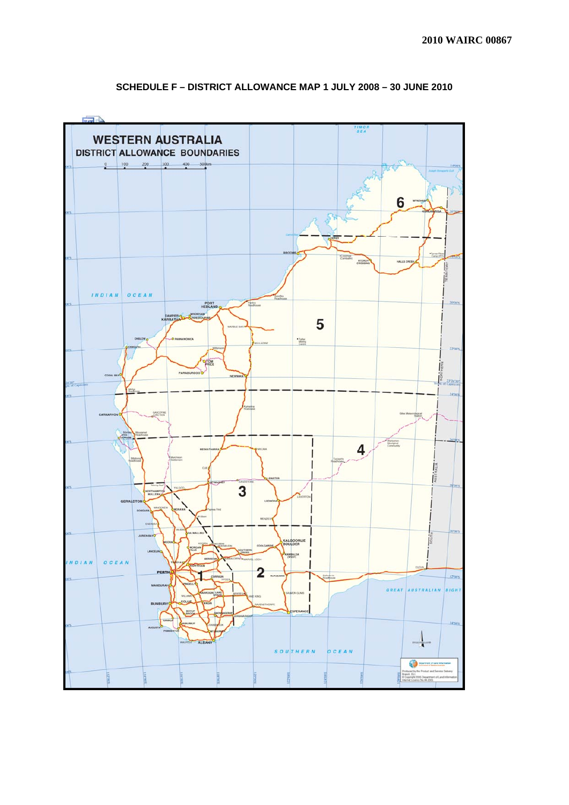

## **SCHEDULE F – DISTRICT ALLOWANCE MAP 1 JULY 2008 – 30 JUNE 2010**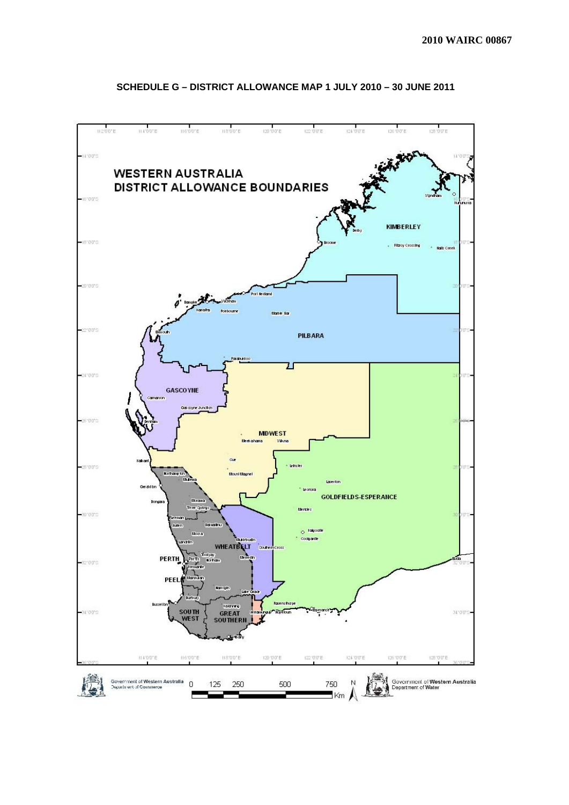

## **SCHEDULE G – DISTRICT ALLOWANCE MAP 1 JULY 2010 – 30 JUNE 2011**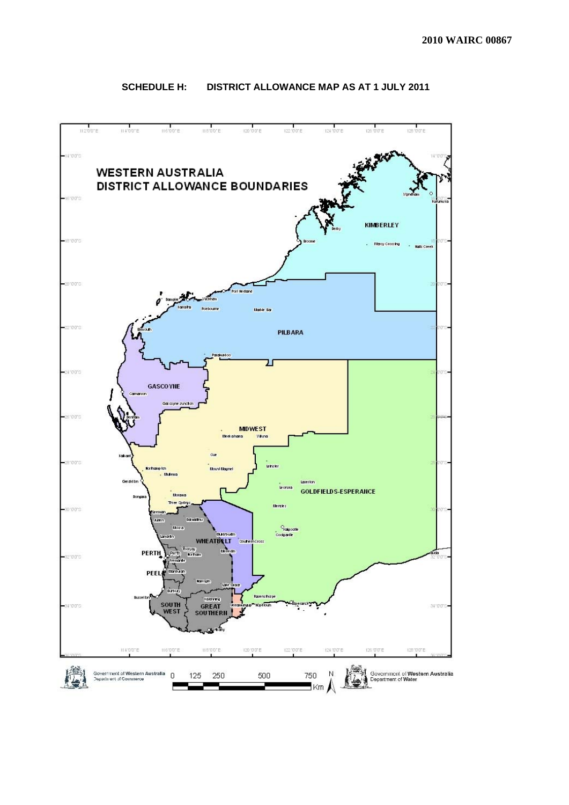

## **SCHEDULE H: DISTRICT ALLOWANCE MAP AS AT 1 JULY 2011**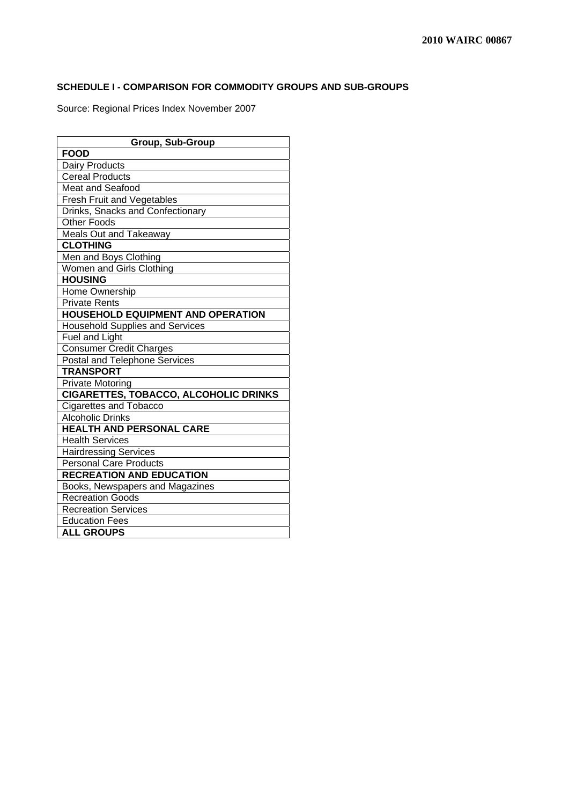## **SCHEDULE I - COMPARISON FOR COMMODITY GROUPS AND SUB-GROUPS**

Source: Regional Prices Index November 2007

| <b>Group, Sub-Group</b>                      |  |  |  |  |
|----------------------------------------------|--|--|--|--|
| <b>FOOD</b>                                  |  |  |  |  |
| Dairy Products                               |  |  |  |  |
| <b>Cereal Products</b>                       |  |  |  |  |
| <b>Meat and Seafood</b>                      |  |  |  |  |
| Fresh Fruit and Vegetables                   |  |  |  |  |
| Drinks, Snacks and Confectionary             |  |  |  |  |
| <b>Other Foods</b>                           |  |  |  |  |
| Meals Out and Takeaway                       |  |  |  |  |
| <b>CLOTHING</b>                              |  |  |  |  |
| Men and Boys Clothing                        |  |  |  |  |
| Women and Girls Clothing                     |  |  |  |  |
| <b>HOUSING</b>                               |  |  |  |  |
| Home Ownership                               |  |  |  |  |
| <b>Private Rents</b>                         |  |  |  |  |
| <b>HOUSEHOLD EQUIPMENT AND OPERATION</b>     |  |  |  |  |
| <b>Household Supplies and Services</b>       |  |  |  |  |
| Fuel and Light                               |  |  |  |  |
| <b>Consumer Credit Charges</b>               |  |  |  |  |
| Postal and Telephone Services                |  |  |  |  |
| <b>TRANSPORT</b>                             |  |  |  |  |
| <b>Private Motoring</b>                      |  |  |  |  |
| <b>CIGARETTES, TOBACCO, ALCOHOLIC DRINKS</b> |  |  |  |  |
| <b>Cigarettes and Tobacco</b>                |  |  |  |  |
| <b>Alcoholic Drinks</b>                      |  |  |  |  |
| <b>HEALTH AND PERSONAL CARE</b>              |  |  |  |  |
| <b>Health Services</b>                       |  |  |  |  |
| <b>Hairdressing Services</b>                 |  |  |  |  |
| <b>Personal Care Products</b>                |  |  |  |  |
| <b>RECREATION AND EDUCATION</b>              |  |  |  |  |
| Books, Newspapers and Magazines              |  |  |  |  |
| <b>Recreation Goods</b>                      |  |  |  |  |
| <b>Recreation Services</b>                   |  |  |  |  |
| <b>Education Fees</b>                        |  |  |  |  |
| <b>ALL GROUPS</b>                            |  |  |  |  |